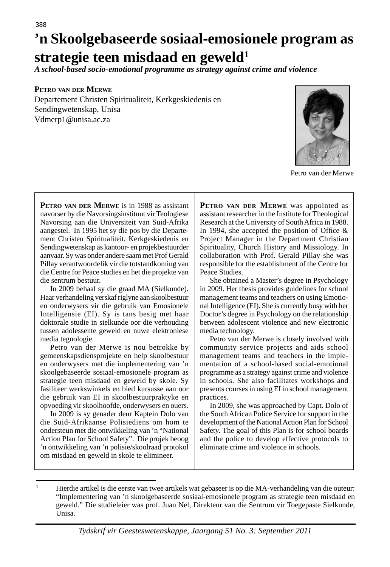# 388 **'n Skoolgebaseerde sosiaal-emosionele program as strategie teen misdaad en geweld1**

*A school-based socio-emotional programme as strategy against crime and violence*

#### **PETRO VAN DER MERWE**

Departement Christen Spiritualiteit, Kerkgeskiedenis en Sendingwetenskap, Unisa Vdmerp1@unisa.ac.za



Petro van der Merwe

**PETRO VAN DER MERWE** is in 1988 as assistant navorser by die Navorsingsinstituut vir Teologiese Navorsing aan die Universiteit van Suid-Afrika aangestel. In 1995 het sy die pos by die Departement Christen Spiritualiteit, Kerkgeskiedenis en Sendingwetenskap as kantoor- en projekbestuurder aanvaar. Sy was onder andere saam met Prof Gerald Pillay verantwoordelik vir die totstandkoming van die Centre for Peace studies en het die projekte van die sentrum bestuur.

 In 2009 behaal sy die graad MA (Sielkunde). Haar verhandeling verskaf riglyne aan skoolbestuur en onderwysers vir die gebruik van Emosionele Intelligensie (EI). Sy is tans besig met haar doktorale studie in sielkunde oor die verhouding tussen adolessente geweld en nuwe elektroniese media tegnologie.

 Petro van der Merwe is nou betrokke by gemeenskapsdiensprojekte en help skoolbestuur en onderwysers met die implementering van 'n skoolgebaseerde sosiaal-emosionele program as strategie teen misdaad en geweld by skole. Sy fasiliteer werkswinkels en bied kursusse aan oor die gebruik van EI in skoolbestuurpraktyke en opvoeding vir skoolhoofde, onderwysers en ouers.

 In 2009 is sy genader deur Kaptein Dolo van die Suid-Afrikaanse Polisiediens om hom te ondersteun met die ontwikkeling van 'n "National Action Plan for School Safety". Die projek beoog 'n ontwikkeling van 'n polisie/skoolraad protokol om misdaad en geweld in skole te elimineer.

**PETRO VAN DER MERWE** was appointed as assistant researcher in the Institute for Theological Research at the University of South Africa in 1988. In 1994, she accepted the position of Office  $\&$ Project Manager in the Department Christian Spirituality, Church History and Missiology. In collaboration with Prof. Gerald Pillay she was responsible for the establishment of the Centre for Peace Studies.

 She obtained a Master's degree in Psychology in 2009. Her thesis provides guidelines for school management teams and teachers on using Emotional Intelligence (EI). She is currently busy with her Doctor's degree in Psychology on the relationship between adolescent violence and new electronic media technology.

 Petro van der Merwe is closely involved with community service projects and aids school management teams and teachers in the implementation of a school-based social-emotional programme as a strategy against crime and violence in schools. She also facilitates workshops and presents courses in using EI in school management practices.

 In 2009, she was approached by Capt. Dolo of the South African Police Service for support in the development of the National Action Plan for School Safety. The goal of this Plan is for school boards and the police to develop effective protocols to eliminate crime and violence in schools.

<sup>1</sup> Hierdie artikel is die eerste van twee artikels wat gebaseer is op die MA-verhandeling van die outeur: "Implementering van 'n skoolgebaseerde sosiaal-emosionele program as strategie teen misdaad en geweld." Die studieleier was prof. Juan Nel, Direkteur van die Sentrum vir Toegepaste Sielkunde, Unisa.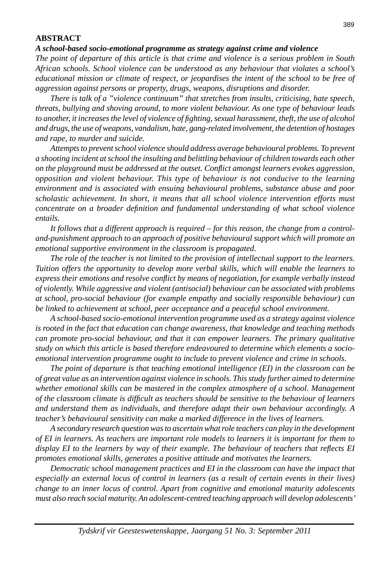#### **ABSTRACT**

#### *A school-based socio-emotional programme as strategy against crime and violence*

*The point of departure of this article is that crime and violence is a serious problem in South African schools. School violence can be understood as any behaviour that violates a school's educational mission or climate of respect, or jeopardises the intent of the school to be free of aggression against persons or property, drugs, weapons, disruptions and disorder.*

 *There is talk of a "violence continuum" that stretches from insults, criticising, hate speech, threats, bullying and shoving around, to more violent behaviour. As one type of behaviour leads to another, it increases the level of violence of fighting, sexual harassment, theft, the use of alcohol and drugs, the use of weapons, vandalism, hate, gang-related involvement, the detention of hostages and rape, to murder and suicide.*

 *Attempts to prevent school violence should address average behavioural problems. To prevent a shooting incident at school the insulting and belittling behaviour of children towards each other on the playground must be addressed at the outset. Conflict amongst learners evokes aggression, opposition and violent behaviour. This type of behaviour is not conducive to the learning environment and is associated with ensuing behavioural problems, substance abuse and poor scholastic achievement. In short, it means that all school violence intervention efforts must concentrate on a broader defi nition and fundamental understanding of what school violence entails.*

 *It follows that a different approach is required – for this reason, the change from a controland-punishment approach to an approach of positive behavioural support which will promote an emotional supportive environment in the classroom is propagated.*

 *The role of the teacher is not limited to the provision of intellectual support to the learners. Tuition offers the opportunity to develop more verbal skills, which will enable the learners to express their emotions and resolve conflict by means of negotiation, for example verbally instead of violently. While aggressive and violent (antisocial) behaviour can be associated with problems at school, pro-social behaviour (for example empathy and socially responsible behaviour) can be linked to achievement at school, peer acceptance and a peaceful school environment.*

 *A school-based socio-emotional intervention programme used as a strategy against violence is rooted in the fact that education can change awareness, that knowledge and teaching methods can promote pro-social behaviour, and that it can empower learners. The primary qualitative study on which this article is based therefore endeavoured to determine which elements a socioemotional intervention programme ought to include to prevent violence and crime in schools.*

 *The point of departure is that teaching emotional intelligence (EI) in the classroom can be of great value as an intervention against violence in schools. This study further aimed to determine whether emotional skills can be mastered in the complex atmosphere of a school. Management of the classroom climate is diffi cult as teachers should be sensitive to the behaviour of learners and understand them as individuals, and therefore adapt their own behaviour accordingly. A teacher's behavioural sensitivity can make a marked difference in the lives of learners.*

 *A secondary research question was to ascertain what role teachers can play in the development of EI in learners. As teachers are important role models to learners it is important for them to display EI to the learners by way of their example. The behaviour of teachers that reflects EI promotes emotional skills, generates a positive attitude and motivates the learners.*

 *Democratic school management practices and EI in the classroom can have the impact that especially an external locus of control in learners (as a result of certain events in their lives) change to an inner locus of control. Apart from cognitive and emotional maturity adolescents must also reach social maturity. An adolescent-centred teaching approach will develop adolescents'*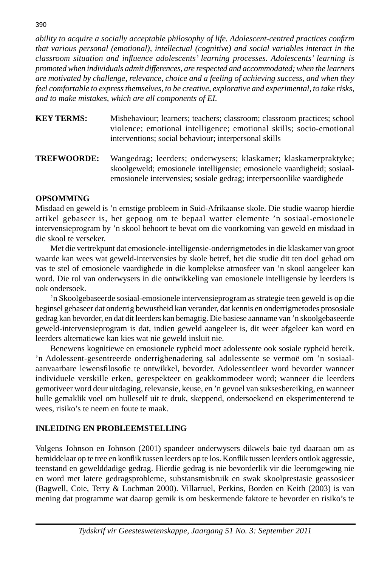*ability to acquire a socially acceptable philosophy of life. Adolescent-centred practices confirm that various personal (emotional), intellectual (cognitive) and social variables interact in the classroom situation and infl uence adolescents' learning processes. Adolescents' learning is promoted when individuals admit differences, are respected and accommodated; when the learners are motivated by challenge, relevance, choice and a feeling of achieving success, and when they feel comfortable to express themselves, to be creative, explorative and experimental, to take risks, and to make mistakes, which are all components of EI.*

- **KEY TERMS:** Misbehaviour; learners; teachers; classroom; classroom practices; school violence; emotional intelligence; emotional skills; socio-emotional interventions; social behaviour; interpersonal skills
- **TREFWOORDE:** Wangedrag; leerders; onderwysers; klaskamer; klaskamerpraktyke; skoolgeweld; emosionele intelligensie; emosionele vaardigheid; sosiaalemosionele intervensies; sosiale gedrag; interpersoonlike vaardighede

# **OPSOMMING**

Misdaad en geweld is 'n ernstige probleem in Suid-Afrikaanse skole. Die studie waarop hierdie artikel gebaseer is, het gepoog om te bepaal watter elemente 'n sosiaal-emosionele intervensieprogram by 'n skool behoort te bevat om die voorkoming van geweld en misdaad in die skool te verseker.

 Met die vertrekpunt dat emosionele-intelligensie-onderrigmetodes in die klaskamer van groot waarde kan wees wat geweld-intervensies by skole betref, het die studie dit ten doel gehad om vas te stel of emosionele vaardighede in die komplekse atmosfeer van 'n skool aangeleer kan word. Die rol van onderwysers in die ontwikkeling van emosionele intelligensie by leerders is ook ondersoek.

 'n Skoolgebaseerde sosiaal-emosionele intervensieprogram as strategie teen geweld is op die beginsel gebaseer dat onderrig bewustheid kan verander, dat kennis en onderrigmetodes prososiale gedrag kan bevorder, en dat dit leerders kan bemagtig. Die basiese aanname van 'n skoolgebaseerde geweld-intervensieprogram is dat, indien geweld aangeleer is, dit weer afgeleer kan word en leerders alternatiewe kan kies wat nie geweld insluit nie.

 Benewens kognitiewe en emosionele rypheid moet adolessente ook sosiale rypheid bereik. 'n Adolessent-gesentreerde onderrigbenadering sal adolessente se vermoë om 'n sosiaalaanvaarbare lewensfilosofie te ontwikkel, bevorder. Adolessentleer word bevorder wanneer individuele verskille erken, gerespekteer en geakkommodeer word; wanneer die leerders gemotiveer word deur uitdaging, relevansie, keuse, en 'n gevoel van suksesbereiking, en wanneer hulle gemaklik voel om hulleself uit te druk, skeppend, ondersoekend en eksperimenterend te wees, risiko's te neem en foute te maak.

# **INLEIDING EN PROBLEEMSTELLING**

Volgens Johnson en Johnson (2001) spandeer onderwysers dikwels baie tyd daaraan om as bemiddelaar op te tree en konflik tussen leerders op te los. Konflik tussen leerders ontlok aggressie, teenstand en gewelddadige gedrag. Hierdie gedrag is nie bevorderlik vir die leeromgewing nie en word met latere gedragsprobleme, substansmisbruik en swak skoolprestasie geassosieer (Bagwell, Coie, Terry & Lochman 2000). Villarruel, Perkins, Borden en Keith (2003) is van mening dat programme wat daarop gemik is om beskermende faktore te bevorder en risiko's te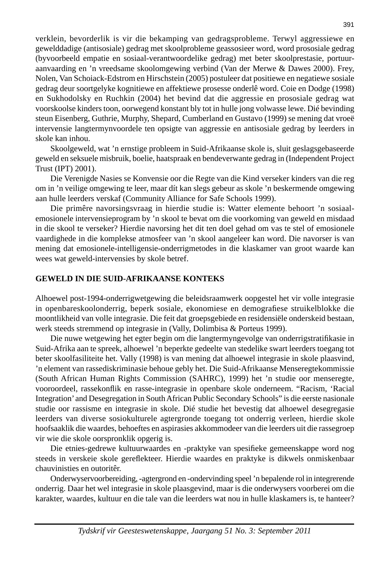verklein, bevorderlik is vir die bekamping van gedragsprobleme. Terwyl aggressiewe en gewelddadige (antisosiale) gedrag met skoolprobleme geassosieer word, word prososiale gedrag (byvoorbeeld empatie en sosiaal-verantwoordelike gedrag) met beter skoolprestasie, portuuraanvaarding en 'n vreedsame skoolomgewing verbind (Van der Merwe & Dawes 2000). Frey, Nolen, Van Schoiack-Edstrom en Hirschstein (2005) postuleer dat positiewe en negatiewe sosiale gedrag deur soortgelyke kognitiewe en affektiewe prosesse onderlê word. Coie en Dodge (1998) en Sukhodolsky en Ruchkin (2004) het bevind dat die aggressie en prososiale gedrag wat voorskoolse kinders toon, oorwegend konstant bly tot in hulle jong volwasse lewe. Dié bevinding steun Eisenberg, Guthrie, Murphy, Shepard, Cumberland en Gustavo (1999) se mening dat vroeë intervensie langtermynvoordele ten opsigte van aggressie en antisosiale gedrag by leerders in skole kan inhou.

 Skoolgeweld, wat 'n ernstige probleem in Suid-Afrikaanse skole is, sluit geslagsgebaseerde geweld en seksuele misbruik, boelie, haatspraak en bendeverwante gedrag in (Independent Project Trust (IPT) 2001).

 Die Verenigde Nasies se Konvensie oor die Regte van die Kind verseker kinders van die reg om in 'n veilige omgewing te leer, maar dít kan slegs gebeur as skole 'n beskermende omgewing aan hulle leerders verskaf (Community Alliance for Safe Schools 1999).

 Die primêre navorsingsvraag in hierdie studie is: Watter elemente behoort 'n sosiaalemosionele intervensieprogram by 'n skool te bevat om die voorkoming van geweld en misdaad in die skool te verseker? Hierdie navorsing het dit ten doel gehad om vas te stel of emosionele vaardighede in die komplekse atmosfeer van 'n skool aangeleer kan word. Die navorser is van mening dat emosionele-intelligensie-onderrigmetodes in die klaskamer van groot waarde kan wees wat geweld-intervensies by skole betref.

#### **GEWELD IN DIE SUID-AFRIKAANSE KONTEKS**

Alhoewel post-1994-onderrigwetgewing die beleidsraamwerk oopgestel het vir volle integrasie in openbareskoolonderrig, beperk sosiale, ekonomiese en demografiese struikelblokke die moontlikheid van volle integrasie. Die feit dat groepsgebiede en residensiële onderskeid bestaan, werk steeds stremmend op integrasie in (Vally, Dolimbisa & Porteus 1999).

 Die nuwe wetgewing het egter begin om die langtermyngevolge van onderrigstratifi kasie in Suid-Afrika aan te spreek, alhoewel 'n beperkte gedeelte van stedelike swart leerders toegang tot beter skoolfasiliteite het. Vally (1998) is van mening dat alhoewel integrasie in skole plaasvind, 'n element van rassediskriminasie behoue gebly het. Die Suid-Afrikaanse Menseregtekommissie (South African Human Rights Commission (SAHRC), 1999) het 'n studie oor menseregte, vooroordeel, rassekonflik en rasse-integrasie in openbare skole onderneem. "Racism, 'Racial Integration' and Desegregation in South African Public Secondary Schools" is die eerste nasionale studie oor rassisme en integrasie in skole. Dié studie het bevestig dat alhoewel desegregasie leerders van diverse sosiokulturele agtergronde toegang tot onderrig verleen, hierdie skole hoofsaaklik die waardes, behoeftes en aspirasies akkommodeer van die leerders uit die rassegroep vir wie die skole oorspronklik opgerig is.

Die etnies-gedrewe kultuurwaardes en -praktyke van spesifieke gemeenskappe word nog steeds in verskeie skole gereflekteer. Hierdie waardes en praktyke is dikwels onmiskenbaar chauvinisties en outoritêr.

 Onderwyservoorbereiding, -agtergrond en -ondervinding speel 'n bepalende rol in integrerende onderrig. Daar het wel integrasie in skole plaasgevind, maar is die onderwysers voorberei om die karakter, waardes, kultuur en die tale van die leerders wat nou in hulle klaskamers is, te hanteer?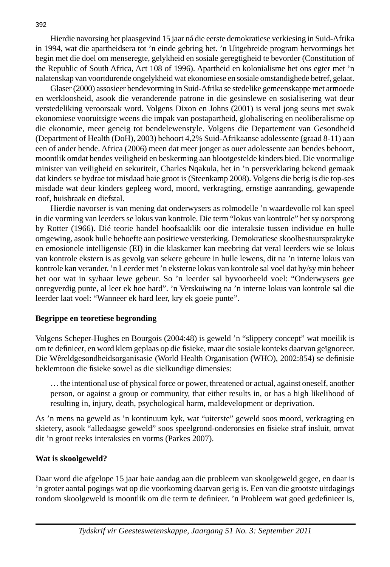Hierdie navorsing het plaasgevind 15 jaar ná die eerste demokratiese verkiesing in Suid-Afrika in 1994, wat die apartheidsera tot 'n einde gebring het. 'n Uitgebreide program hervormings het begin met die doel om menseregte, gelykheid en sosiale geregtigheid te bevorder (Constitution of the Republic of South Africa, Act 108 of 1996). Apartheid en kolonialisme het ons egter met 'n nalatenskap van voortdurende ongelykheid wat ekonomiese en sosiale omstandighede betref, gelaat.

 Glaser (2000) assosieer bendevorming in Suid-Afrika se stedelike gemeenskappe met armoede en werkloosheid, asook die veranderende patrone in die gesinslewe en sosialisering wat deur verstedeliking veroorsaak word. Volgens Dixon en Johns (2001) is veral jong seuns met swak ekonomiese vooruitsigte weens die impak van postapartheid, globalisering en neoliberalisme op die ekonomie, meer geneig tot bendelewenstyle. Volgens die Departement van Gesondheid (Department of Health (DoH), 2003) behoort 4,2% Suid-Afrikaanse adolessente (graad 8-11) aan een of ander bende. Africa (2006) meen dat meer jonger as ouer adolessente aan bendes behoort, moontlik omdat bendes veiligheid en beskerming aan blootgestelde kinders bied. Die voormalige minister van veiligheid en sekuriteit, Charles Nqakula, het in 'n persverklaring bekend gemaak dat kinders se bydrae tot misdaad baie groot is (Steenkamp 2008). Volgens die berig is die top-ses misdade wat deur kinders gepleeg word, moord, verkragting, ernstige aanranding, gewapende roof, huisbraak en diefstal.

 Hierdie navorser is van mening dat onderwysers as rolmodelle 'n waardevolle rol kan speel in die vorming van leerders se lokus van kontrole. Die term "lokus van kontrole" het sy oorsprong by Rotter (1966). Dié teorie handel hoofsaaklik oor die interaksie tussen individue en hulle omgewing, asook hulle behoefte aan positiewe versterking. Demokratiese skoolbestuurspraktyke en emosionele intelligensie (EI) in die klaskamer kan meebring dat veral leerders wie se lokus van kontrole ekstern is as gevolg van sekere gebeure in hulle lewens, dit na 'n interne lokus van kontrole kan verander. 'n Leerder met 'n eksterne lokus van kontrole sal voel dat hy/sy min beheer het oor wat in sy/haar lewe gebeur. So 'n leerder sal byvoorbeeld voel: "Onderwysers gee onregverdig punte, al leer ek hoe hard". 'n Verskuiwing na 'n interne lokus van kontrole sal die leerder laat voel: "Wanneer ek hard leer, kry ek goeie punte".

# **Begrippe en teoretiese begronding**

Volgens Scheper-Hughes en Bourgois (2004:48) is geweld 'n "slippery concept" wat moeilik is om te definieer, en word klem geplaas op die fisieke, maar die sosiale konteks daarvan geïgnoreer. Die Wêreldgesondheidsorganisasie (World Health Organisation (WHO), 2002:854) se definisie beklemtoon die fisieke sowel as die sielkundige dimensies:

 … the intentional use of physical force or power, threatened or actual, against oneself, another person, or against a group or community, that either results in, or has a high likelihood of resulting in, injury, death, psychological harm, maldevelopment or deprivation.

As 'n mens na geweld as 'n kontinuum kyk, wat "uiterste" geweld soos moord, verkragting en skietery, asook "alledaagse geweld" soos speelgrond-onderonsies en fisieke straf insluit, omvat dit 'n groot reeks interaksies en vorms (Parkes 2007).

# **Wat is skoolgeweld?**

Daar word die afgelope 15 jaar baie aandag aan die probleem van skoolgeweld gegee, en daar is 'n groter aantal pogings wat op die voorkoming daarvan gerig is. Een van die grootste uitdagings rondom skoolgeweld is moontlik om die term te definieer. 'n Probleem wat goed gedefinieer is,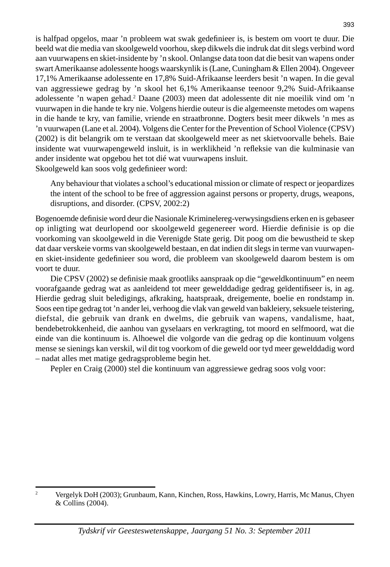is halfpad opgelos, maar 'n probleem wat swak gedefinieer is, is bestem om voort te duur. Die beeld wat die media van skoolgeweld voorhou, skep dikwels die indruk dat dit slegs verbind word aan vuurwapens en skiet-insidente by 'n skool. Onlangse data toon dat die besit van wapens onder swart Amerikaanse adolessente hoogs waarskynlik is (Lane, Cuningham & Ellen 2004). Ongeveer 17,1% Amerikaanse adolessente en 17,8% Suid-Afrikaanse leerders besit 'n wapen. In die geval van aggressiewe gedrag by 'n skool het 6,1% Amerikaanse teenoor 9,2% Suid-Afrikaanse adolessente 'n wapen gehad.2 Daane (2003) meen dat adolessente dit nie moeilik vind om 'n vuurwapen in die hande te kry nie. Volgens hierdie outeur is die algemeenste metodes om wapens in die hande te kry, van familie, vriende en straatbronne. Dogters besit meer dikwels 'n mes as 'n vuurwapen (Lane et al. 2004). Volgens die Center for the Prevention of School Violence (CPSV) (2002) is dit belangrik om te verstaan dat skoolgeweld meer as net skietvoorvalle behels. Baie insidente wat vuurwapengeweld insluit, is in werklikheid 'n refleksie van die kulminasie van ander insidente wat opgebou het tot dié wat vuurwapens insluit. Skoolgeweld kan soos volg gedefinieer word:

 Any behaviour that violates a school's educational mission or climate of respect or jeopardizes the intent of the school to be free of aggression against persons or property, drugs, weapons, disruptions, and disorder. (CPSV, 2002:2)

Bogenoemde definisie word deur die Nasionale Kriminelereg-verwysingsdiens erken en is gebaseer op inligting wat deurlopend oor skoolgeweld gegenereer word. Hierdie definisie is op die voorkoming van skoolgeweld in die Verenigde State gerig. Dit poog om die bewustheid te skep dat daar verskeie vorms van skoolgeweld bestaan, en dat indien dit slegs in terme van vuurwapenen skiet-insidente gedefinieer sou word, die probleem van skoolgeweld daarom bestem is om voort te duur.

Die CPSV (2002) se definisie maak grootliks aanspraak op die "geweldkontinuum" en neem voorafgaande gedrag wat as aanleidend tot meer gewelddadige gedrag geïdentifiseer is, in ag. Hierdie gedrag sluit beledigings, afkraking, haatspraak, dreigemente, boelie en rondstamp in. Soos een tipe gedrag tot 'n ander lei, verhoog die vlak van geweld van bakleiery, seksuele teistering, diefstal, die gebruik van drank en dwelms, die gebruik van wapens, vandalisme, haat, bendebetrokkenheid, die aanhou van gyselaars en verkragting, tot moord en selfmoord, wat die einde van die kontinuum is. Alhoewel die volgorde van die gedrag op die kontinuum volgens mense se sienings kan verskil, wil dit tog voorkom of die geweld oor tyd meer gewelddadig word – nadat alles met matige gedragsprobleme begin het.

Pepler en Craig (2000) stel die kontinuum van aggressiewe gedrag soos volg voor:

 $\overline{2}$ 

Vergelyk DoH (2003); Grunbaum, Kann, Kinchen, Ross, Hawkins, Lowry, Harris, Mc Manus, Chyen & Collins (2004).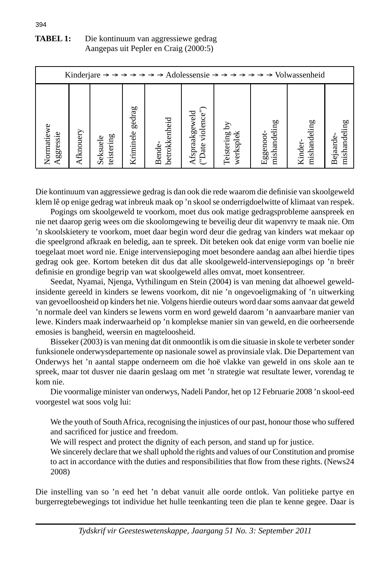| <b>TABEL 1:</b> | Die kontinuum van aggressiewe gedrag  |
|-----------------|---------------------------------------|
|                 | Aangepas uit Pepler en Craig (2000:5) |

| Kinderjare $\rightarrow \rightarrow \rightarrow \rightarrow \rightarrow$ Adolessensie $\rightarrow \rightarrow \rightarrow \rightarrow \rightarrow \rightarrow$ Volwassenheid |           |            |           |               |                   |               |              |              |              |
|-------------------------------------------------------------------------------------------------------------------------------------------------------------------------------|-----------|------------|-----------|---------------|-------------------|---------------|--------------|--------------|--------------|
| Normatiewe                                                                                                                                                                    | Afknouery | teistering | gedrag    | betrokkenheid | ("Date violence") | Teistering by | mishandeling | mishandeling | mishandeling |
| Aggressie                                                                                                                                                                     |           | Seksuele   | Kriminele | Bende-        | Afspraakgeweld    | werksplek     | Eggenoot-    | Kinder-      | Bejaarde     |

Die kontinuum van aggressiewe gedrag is dan ook die rede waarom die definisie van skoolgeweld klem lê op enige gedrag wat inbreuk maak op 'n skool se onderrigdoelwitte of klimaat van respek.

 Pogings om skoolgeweld te voorkom, moet dus ook matige gedragsprobleme aanspreek en nie net daarop gerig wees om die skoolomgewing te beveilig deur dit wapenvry te maak nie. Om 'n skoolskietery te voorkom, moet daar begin word deur die gedrag van kinders wat mekaar op die speelgrond afkraak en beledig, aan te spreek. Dit beteken ook dat enige vorm van boelie nie toegelaat moet word nie. Enige intervensiepoging moet besondere aandag aan albei hierdie tipes gedrag ook gee. Kortom beteken dit dus dat alle skoolgeweld-intervensiepogings op 'n breër defi nisie en grondige begrip van wat skoolgeweld alles omvat, moet konsentreer.

 Seedat, Nyamai, Njenga, Vythilingum en Stein (2004) is van mening dat alhoewel geweldinsidente gereeld in kinders se lewens voorkom, dit nie 'n ongevoeligmaking of 'n uitwerking van gevoelloosheid op kinders het nie. Volgens hierdie outeurs word daar soms aanvaar dat geweld 'n normale deel van kinders se lewens vorm en word geweld daarom 'n aanvaarbare manier van lewe. Kinders maak inderwaarheid op 'n komplekse manier sin van geweld, en die oorheersende emosies is bangheid, weersin en magteloosheid.

 Bisseker (2003) is van mening dat dit onmoontlik is om die situasie in skole te verbeter sonder funksionele onderwysdepartemente op nasionale sowel as provinsiale vlak. Die Departement van Onderwys het 'n aantal stappe onderneem om die hoë vlakke van geweld in ons skole aan te spreek, maar tot dusver nie daarin geslaag om met 'n strategie wat resultate lewer, vorendag te kom nie.

 Die voormalige minister van onderwys, Nadeli Pandor, het op 12 Februarie 2008 'n skool-eed voorgestel wat soos volg lui:

 We the youth of South Africa, recognising the injustices of our past, honour those who suffered and sacrificed for justice and freedom.

We will respect and protect the dignity of each person, and stand up for justice.

 We sincerely declare that we shall uphold the rights and values of our Constitution and promise to act in accordance with the duties and responsibilities that flow from these rights. (News24 2008)

Die instelling van so 'n eed het 'n debat vanuit alle oorde ontlok. Van politieke partye en burgerregtebewegings tot individue het hulle teenkanting teen die plan te kenne gegee. Daar is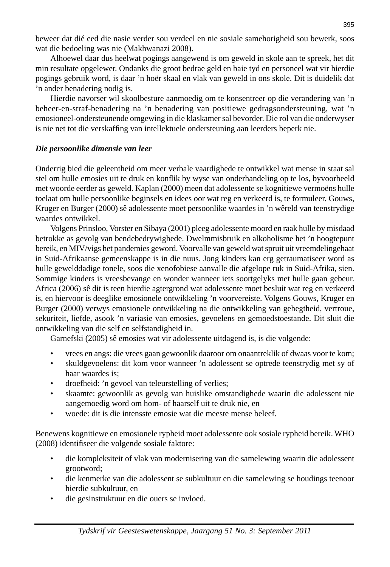beweer dat dié eed die nasie verder sou verdeel en nie sosiale samehorigheid sou bewerk, soos wat die bedoeling was nie (Makhwanazi 2008).

 Alhoewel daar dus heelwat pogings aangewend is om geweld in skole aan te spreek, het dit min resultate opgelewer. Ondanks die groot bedrae geld en baie tyd en personeel wat vir hierdie pogings gebruik word, is daar 'n hoër skaal en vlak van geweld in ons skole. Dit is duidelik dat 'n ander benadering nodig is.

 Hierdie navorser wil skoolbesture aanmoedig om te konsentreer op die verandering van 'n beheer-en-straf-benadering na 'n benadering van positiewe gedragsondersteuning, wat 'n emosioneel-ondersteunende omgewing in die klaskamer sal bevorder. Die rol van die onderwyser is nie net tot die verskaffing van intellektuele ondersteuning aan leerders beperk nie.

## *Die persoonlike dimensie van leer*

Onderrig bied die geleentheid om meer verbale vaardighede te ontwikkel wat mense in staat sal stel om hulle emosies uit te druk en konflik by wyse van onderhandeling op te los, byvoorbeeld met woorde eerder as geweld. Kaplan (2000) meen dat adolessente se kognitiewe vermoëns hulle toelaat om hulle persoonlike beginsels en idees oor wat reg en verkeerd is, te formuleer. Gouws, Kruger en Burger (2000) sê adolessente moet persoonlike waardes in 'n wêreld van teenstrydige waardes ontwikkel.

 Volgens Prinsloo, Vorster en Sibaya (2001) pleeg adolessente moord en raak hulle by misdaad betrokke as gevolg van bendebedrywighede. Dwelmmisbruik en alkoholisme het 'n hoogtepunt bereik, en MIV/vigs het pandemies geword. Voorvalle van geweld wat spruit uit vreemdelingehaat in Suid-Afrikaanse gemeenskappe is in die nuus. Jong kinders kan erg getraumatiseer word as hulle gewelddadige tonele, soos die xenofobiese aanvalle die afgelope ruk in Suid-Afrika, sien. Sommige kinders is vreesbevange en wonder wanneer iets soortgelyks met hulle gaan gebeur. Africa (2006) sê dit is teen hierdie agtergrond wat adolessente moet besluit wat reg en verkeerd is, en hiervoor is deeglike emosionele ontwikkeling 'n voorvereiste. Volgens Gouws, Kruger en Burger (2000) verwys emosionele ontwikkeling na die ontwikkeling van gehegtheid, vertroue, sekuriteit, liefde, asook 'n variasie van emosies, gevoelens en gemoedstoestande. Dit sluit die ontwikkeling van die self en selfstandigheid in.

Garnefski (2005) sê emosies wat vir adolessente uitdagend is, is die volgende:

- vrees en angs: die vrees gaan gewoonlik daaroor om onaantreklik of dwaas voor te kom;
- skuldgevoelens: dit kom voor wanneer 'n adolessent se optrede teenstrydig met sy of haar waardes is;
- droefheid: 'n gevoel van teleurstelling of verlies;
- skaamte: gewoonlik as gevolg van huislike omstandighede waarin die adolessent nie aangemoedig word om hom- of haarself uit te druk nie, en
- woede: dit is die intensste emosie wat die meeste mense beleef.

Benewens kognitiewe en emosionele rypheid moet adolessente ook sosiale rypheid bereik. WHO (2008) identifiseer die volgende sosiale faktore:

- die kompleksiteit of vlak van modernisering van die samelewing waarin die adolessent grootword;
- die kenmerke van die adolessent se subkultuur en die samelewing se houdings teenoor hierdie subkultuur, en
- die gesinstruktuur en die ouers se invloed.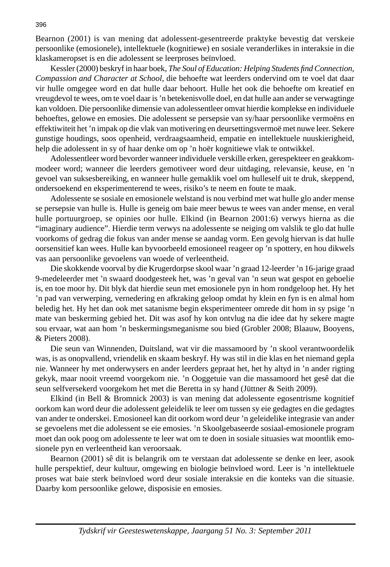Bearnon (2001) is van mening dat adolessent-gesentreerde praktyke bevestig dat verskeie persoonlike (emosionele), intellektuele (kognitiewe) en sosiale veranderlikes in interaksie in die klaskameropset is en die adolessent se leerproses beïnvloed.

Kessler (2000) beskryf in haar boek, *The Soul of Education: Helping Students find Connection*, *Compassion and Character at School*, die behoefte wat leerders ondervind om te voel dat daar vir hulle omgegee word en dat hulle daar behoort. Hulle het ook die behoefte om kreatief en vreugdevol te wees, om te voel daar is 'n betekenisvolle doel, en dat hulle aan ander se verwagtinge kan voldoen. Die persoonlike dimensie van adolessentleer omvat hierdie komplekse en individuele behoeftes, gelowe en emosies. Die adolessent se persepsie van sy/haar persoonlike vermoëns en effektiwiteit het 'n impak op die vlak van motivering en deursettingsvermoë met nuwe leer. Sekere gunstige houdings, soos openheid, verdraagsaamheid, empatie en intellektuele nuuskierigheid, help die adolessent in sy of haar denke om op 'n hoër kognitiewe vlak te ontwikkel.

 Adolessentleer word bevorder wanneer individuele verskille erken, gerespekteer en geakkommodeer word; wanneer die leerders gemotiveer word deur uitdaging, relevansie, keuse, en 'n gevoel van suksesbereiking, en wanneer hulle gemaklik voel om hulleself uit te druk, skeppend, ondersoekend en eksperimenterend te wees, risiko's te neem en foute te maak.

 Adolessente se sosiale en emosionele welstand is nou verbind met wat hulle glo ander mense se persepsie van hulle is. Hulle is geneig om baie meer bewus te wees van ander mense, en veral hulle portuurgroep, se opinies oor hulle. Elkind (in Bearnon 2001:6) verwys hierna as die "imaginary audience". Hierdie term verwys na adolessente se neiging om valslik te glo dat hulle voorkoms of gedrag die fokus van ander mense se aandag vorm. Een gevolg hiervan is dat hulle oorsensitief kan wees. Hulle kan byvoorbeeld emosioneel reageer op 'n spottery, en hou dikwels vas aan persoonlike gevoelens van woede of verleentheid.

 Die skokkende voorval by die Krugerdorpse skool waar 'n graad 12-leerder 'n 16-jarige graad 9-medeleerder met 'n swaard doodgesteek het, was 'n geval van 'n seun wat gespot en geboelie is, en toe moor hy. Dit blyk dat hierdie seun met emosionele pyn in hom rondgeloop het. Hy het 'n pad van verwerping, vernedering en afkraking geloop omdat hy klein en fyn is en almal hom beledig het. Hy het dan ook met satanisme begin eksperimenteer omrede dit hom in sy psige 'n mate van beskerming gebied het. Dit was asof hy kon ontvlug na die idee dat hy sekere magte sou ervaar, wat aan hom 'n beskermingsmeganisme sou bied (Grobler 2008; Blaauw, Booyens, & Pieters 2008).

 Die seun van Winnenden, Duitsland, wat vir die massamoord by 'n skool verantwoordelik was, is as onopvallend, vriendelik en skaam beskryf. Hy was stil in die klas en het niemand gepla nie. Wanneer hy met onderwysers en ander leerders gepraat het, het hy altyd in 'n ander rigting gekyk, maar nooit vreemd voorgekom nie. 'n Ooggetuie van die massamoord het gesê dat die seun selfversekerd voorgekom het met die Beretta in sy hand (Jüttner & Seith 2009).

 Elkind (in Bell & Bromnick 2003) is van mening dat adolessente egosentrisme kognitief oorkom kan word deur die adolessent geleidelik te leer om tussen sy eie gedagtes en die gedagtes van ander te onderskei. Emosioneel kan dit oorkom word deur 'n geleidelike integrasie van ander se gevoelens met die adolessent se eie emosies. 'n Skoolgebaseerde sosiaal-emosionele program moet dan ook poog om adolessente te leer wat om te doen in sosiale situasies wat moontlik emosionele pyn en verleentheid kan veroorsaak.

 Bearnon (2001) sê dit is belangrik om te verstaan dat adolessente se denke en leer, asook hulle perspektief, deur kultuur, omgewing en biologie beïnvloed word. Leer is 'n intellektuele proses wat baie sterk beïnvloed word deur sosiale interaksie en die konteks van die situasie. Daarby kom persoonlike gelowe, disposisie en emosies.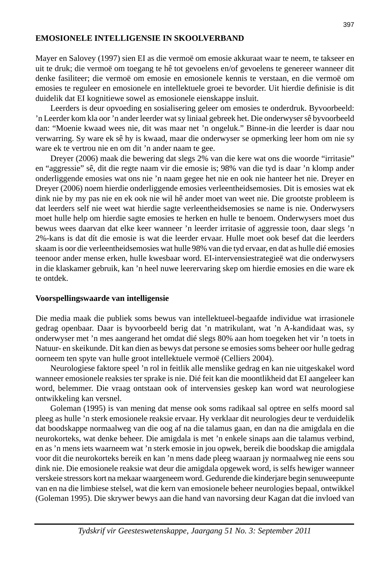## **EMOSIONELE INTELLIGENSIE IN SKOOLVERBAND**

Mayer en Salovey (1997) sien EI as die vermoë om emosie akkuraat waar te neem, te takseer en uit te druk; die vermoë om toegang te hê tot gevoelens en/of gevoelens te genereer wanneer dit denke fasiliteer; die vermoë om emosie en emosionele kennis te verstaan, en die vermoë om emosies te reguleer en emosionele en intellektuele groei te bevorder. Uit hierdie definisie is dit duidelik dat EI kognitiewe sowel as emosionele eienskappe insluit.

 Leerders is deur opvoeding en sosialisering geleer om emosies te onderdruk. Byvoorbeeld: 'n Leerder kom kla oor 'n ander leerder wat sy liniaal gebreek het. Die onderwyser sê byvoorbeeld dan: "Moenie kwaad wees nie, dit was maar net 'n ongeluk." Binne-in die leerder is daar nou verwarring. Sy ware ek sê hy is kwaad, maar die onderwyser se opmerking leer hom om nie sy ware ek te vertrou nie en om dit 'n ander naam te gee.

 Dreyer (2006) maak die bewering dat slegs 2% van die kere wat ons die woorde "irritasie" en "aggressie" sê, dit die regte naam vir die emosie is; 98% van die tyd is daar 'n klomp ander onderliggende emosies wat ons nie 'n naam gegee het nie en ook nie hanteer het nie. Dreyer en Dreyer (2006) noem hierdie onderliggende emosies verleentheidsemosies. Dit is emosies wat ek dink nie by my pas nie en ek ook nie wil hê ander moet van weet nie. Die grootste probleem is dat leerders self nie weet wat hierdie sagte verleentheidsemosies se name is nie. Onderwysers moet hulle help om hierdie sagte emosies te herken en hulle te benoem. Onderwysers moet dus bewus wees daarvan dat elke keer wanneer 'n leerder irritasie of aggressie toon, daar slegs 'n 2%-kans is dat dít die emosie is wat die leerder ervaar. Hulle moet ook besef dat die leerders skaam is oor die verleentheidsemosies wat hulle 98% van die tyd ervaar, en dat as hulle dié emosies teenoor ander mense erken, hulle kwesbaar word. EI-intervensiestrategieë wat die onderwysers in die klaskamer gebruik, kan 'n heel nuwe leerervaring skep om hierdie emosies en die ware ek te ontdek.

#### **Voorspellingswaarde van intelligensie**

Die media maak die publiek soms bewus van intellektueel-begaafde individue wat irrasionele gedrag openbaar. Daar is byvoorbeeld berig dat 'n matrikulant, wat 'n A-kandidaat was, sy onderwyser met 'n mes aangerand het omdat dié slegs 80% aan hom toegeken het vir 'n toets in Natuur- en skeikunde. Dit kan dien as bewys dat persone se emosies soms beheer oor hulle gedrag oorneem ten spyte van hulle groot intellektuele vermoë (Celliers 2004).

 Neurologiese faktore speel 'n rol in feitlik alle menslike gedrag en kan nie uitgeskakel word wanneer emosionele reaksies ter sprake is nie. Dié feit kan die moontlikheid dat EI aangeleer kan word, belemmer. Die vraag ontstaan ook of intervensies geskep kan word wat neurologiese ontwikkeling kan versnel.

 Goleman (1995) is van mening dat mense ook soms radikaal sal optree en selfs moord sal pleeg as hulle 'n sterk emosionele reaksie ervaar. Hy verklaar dit neurologies deur te verduidelik dat boodskappe normaalweg van die oog af na die talamus gaan, en dan na die amigdala en die neurokorteks, wat denke beheer. Die amigdala is met 'n enkele sinaps aan die talamus verbind, en as 'n mens iets waarneem wat 'n sterk emosie in jou opwek, bereik die boodskap die amigdala voor dit die neurokorteks bereik en kan 'n mens dade pleeg waaraan jy normaalweg nie eens sou dink nie. Die emosionele reaksie wat deur die amigdala opgewek word, is selfs hewiger wanneer verskeie stressors kort na mekaar waargeneem word. Gedurende die kinderjare begin senuweepunte van en na die limbiese stelsel, wat die kern van emosionele beheer neurologies bepaal, ontwikkel (Goleman 1995). Die skrywer bewys aan die hand van navorsing deur Kagan dat die invloed van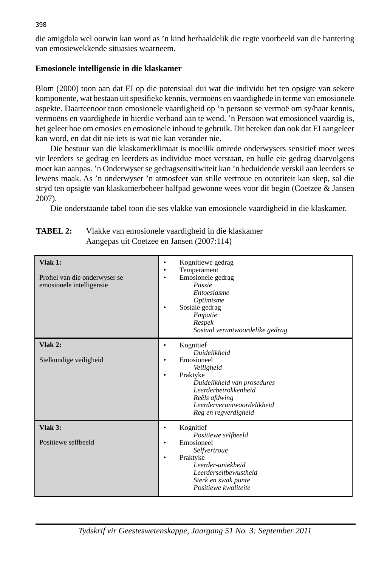die amigdala wel oorwin kan word as 'n kind herhaaldelik die regte voorbeeld van die hantering van emosiewekkende situasies waarneem.

# **Emosionele intelligensie in die klaskamer**

Blom (2000) toon aan dat EI op die potensiaal dui wat die individu het ten opsigte van sekere komponente, wat bestaan uit spesifieke kennis, vermoëns en vaardighede in terme van emosionele aspekte. Daarteenoor toon emosionele vaardigheid op 'n persoon se vermoë om sy/haar kennis, vermoëns en vaardighede in hierdie verband aan te wend. 'n Persoon wat emosioneel vaardig is, het geleer hoe om emosies en emosionele inhoud te gebruik. Dit beteken dan ook dat EI aangeleer kan word, en dat dit nie iets is wat nie kan verander nie.

 Die bestuur van die klaskamerklimaat is moeilik omrede onderwysers sensitief moet wees vir leerders se gedrag en leerders as individue moet verstaan, en hulle eie gedrag daarvolgens moet kan aanpas. 'n Onderwyser se gedragsensitiwiteit kan 'n beduidende verskil aan leerders se lewens maak. As 'n onderwyser 'n atmosfeer van stille vertroue en outoriteit kan skep, sal die stryd ten opsigte van klaskamerbeheer halfpad gewonne wees voor dit begin (Coetzee & Jansen 2007).

Die onderstaande tabel toon die ses vlakke van emosionele vaardigheid in die klaskamer.

| $V$ lak 1:<br>Profiel van die onderwyser se<br>emosionele intelligensie | Kognitiewe gedrag<br>٠<br>Temperament<br>٠<br>Emosionele gedrag<br>٠<br>Passie<br>Entoesiasme<br>Optimisme<br>Sosiale gedrag<br>٠<br>Empatie<br>Respek<br>Sosiaal verantwoordelike gedrag                             |
|-------------------------------------------------------------------------|-----------------------------------------------------------------------------------------------------------------------------------------------------------------------------------------------------------------------|
| $V$ lak 2:<br>Sielkundige veiligheid                                    | Kognitief<br>٠<br><b>Duidelikheid</b><br>Emosioneel<br>٠<br>Veiligheid<br>Praktyke<br>٠<br>Duidelikheid van prosedures<br>Leerderbetrokkenheid<br>Reëls afdwing<br>Leerderverantwoordelikheid<br>Reg en regverdigheid |
| $V$ lak 3:<br>Positiewe selfbeeld                                       | Kognitief<br>٠<br>Positiewe selfbeeld<br>Emosioneel<br>٠<br>Selfvertroue<br>Praktyke<br>$\bullet$<br>Leerder-uniekheid<br>Leerderselfbewustheid<br>Sterk en swak punte<br>Positiewe kwaliteite                        |

**TABEL 2:** Vlakke van emosionele vaardigheid in die klaskamer Aangepas uit Coetzee en Jansen (2007:114)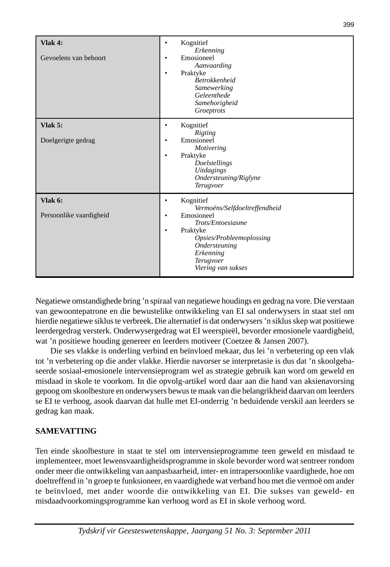| <b>Vlak 4:</b><br>Gevoelens van behoort | Kognitief<br>٠<br>Erkenning<br>Emosioneel<br>٠<br>Aanvaarding<br>Praktyke<br>٠<br><b>Betrokkenheid</b><br>Samewerking<br>Geleenthede<br>Samehorigheid<br>Groeptrots                                           |
|-----------------------------------------|---------------------------------------------------------------------------------------------------------------------------------------------------------------------------------------------------------------|
| Vlak $5:$<br>Doelgerigte gedrag         | Kognitief<br>٠<br>Rigting<br>Emosioneel<br>٠<br><b>Motivering</b><br>Praktyke<br>٠<br>Doelstellings<br><b>Uitdagings</b><br>Ondersteuning/Riglyne<br>Terugvoer                                                |
| Vlak 6:<br>Persoonlike vaardigheid      | Kognitief<br>٠<br>Vermoëns/Selfdoeltreffendheid<br>Emosioneel<br>٠<br>Trots/Entoesiasme<br>Praktyke<br>$\bullet$<br>Opsies/Probleemoplossing<br>Ondersteuning<br>Erkenning<br>Terugvoer<br>Viering van sukses |

Negatiewe omstandighede bring 'n spiraal van negatiewe houdings en gedrag na vore. Die verstaan van gewoontepatrone en die bewustelike ontwikkeling van EI sal onderwysers in staat stel om hierdie negatiewe siklus te verbreek. Die alternatief is dat onderwysers 'n siklus skep wat positiewe leerdergedrag versterk. Onderwysergedrag wat EI weerspieël, bevorder emosionele vaardigheid, wat 'n positiewe houding genereer en leerders motiveer (Coetzee & Jansen 2007).

 Die ses vlakke is onderling verbind en beïnvloed mekaar, dus lei 'n verbetering op een vlak tot 'n verbetering op die ander vlakke. Hierdie navorser se interpretasie is dus dat 'n skoolgebaseerde sosiaal-emosionele intervensieprogram wel as strategie gebruik kan word om geweld en misdaad in skole te voorkom. In die opvolg-artikel word daar aan die hand van aksienavorsing gepoog om skoolbesture en onderwysers bewus te maak van die belangrikheid daarvan om leerders se EI te verhoog, asook daarvan dat hulle met EI-onderrig 'n beduidende verskil aan leerders se gedrag kan maak.

# **SAMEVATTING**

Ten einde skoolbesture in staat te stel om intervensieprogramme teen geweld en misdaad te implementeer, moet lewensvaardigheidsprogramme in skole bevorder word wat sentreer rondom onder meer die ontwikkeling van aanpasbaarheid, inter- en intrapersoonlike vaardighede, hoe om doeltreffend in 'n groep te funksioneer, en vaardighede wat verband hou met die vermoë om ander te beïnvloed, met ander woorde die ontwikkeling van EI. Die sukses van geweld- en misdaadvoorkomingsprogramme kan verhoog word as EI in skole verhoog word.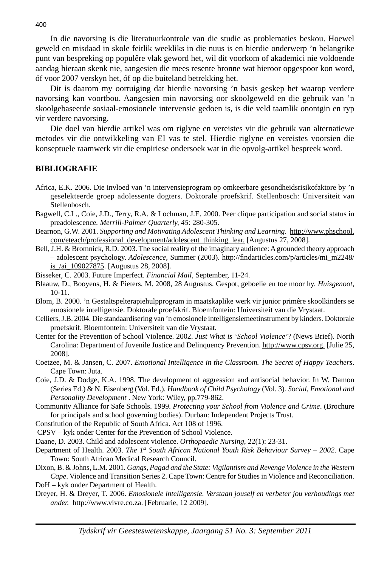In die navorsing is die literatuurkontrole van die studie as problematies beskou. Hoewel geweld en misdaad in skole feitlik weekliks in die nuus is en hierdie onderwerp 'n belangrike punt van bespreking op populêre vlak geword het, wil dit voorkom of akademici nie voldoende aandag hieraan skenk nie, aangesien die mees resente bronne wat hieroor opgespoor kon word, óf voor 2007 verskyn het, óf op die buiteland betrekking het.

 Dit is daarom my oortuiging dat hierdie navorsing 'n basis geskep het waarop verdere navorsing kan voortbou. Aangesien min navorsing oor skoolgeweld en die gebruik van 'n skoolgebaseerde sosiaal-emosionele intervensie gedoen is, is die veld taamlik onontgin en ryp vir verdere navorsing.

 Die doel van hierdie artikel was om riglyne en vereistes vir die gebruik van alternatiewe metodes vir die ontwikkeling van EI vas te stel. Hierdie riglyne en vereistes voorsien die konseptuele raamwerk vir die empiriese ondersoek wat in die opvolg-artikel bespreek word.

#### **BIBLIOGRAFIE**

- Africa, E.K. 2006. Die invloed van 'n intervensieprogram op omkeerbare gesondheidsrisikofaktore by 'n geselekteerde groep adolessente dogters. Doktorale proefskrif. Stellenbosch: Universiteit van Stellenbosch.
- Bagwell, C.L., Coie, J.D., Terry, R.A. & Lochman, J.E. 2000. Peer clique participation and social status in preadolescence*. Merrill-Palmer Quarterly, 45*: 280-305.
- Bearnon, G.W. 2001. *Supporting and Motivating Adolescent Thinking and Learning*. http://www.phschool. com/eteach/professional\_development/adolescent\_thinking\_lear. [Augustus 27, 2008].
- Bell, J.H. & Bromnick, R.D. 2003. The social reality of the imaginary audience: A grounded theory approach – adolescent psychology. *Adolescence*, Summer (2003). http://fi ndarticles.com/p/articles/mi\_m2248/ is\_/ai\_109027875. [Augustus 28, 2008].
- Bisseker, C. 2003. Future Imperfect. *Financial Mail*, September, 11-24.
- Blaauw, D., Booyens, H. & Pieters, M. 2008, 28 Augustus. Gespot, geboelie en toe moor hy. *Huisgenoot*, 10-11.
- Blom, B. 2000. 'n Gestaltspelterapiehulpprogram in maatskaplike werk vir junior primêre skoolkinders se emosionele intelligensie. Doktorale proefskrif. Bloemfontein: Universiteit van die Vrystaat.
- Celliers, J.B. 2004. Die standaardisering van 'n emosionele intelligensiemeetinstrument by kinders*.* Doktorale proefskrif. Bloemfontein: Universiteit van die Vrystaat.
- Center for the Prevention of School Violence. 2002. *Just What is 'School Violence'*? (News Brief). North Carolina: Department of Juvenile Justice and Delinquency Prevention. http://www.cpsv.org. [Julie 25, 2008].
- Coetzee, M. & Jansen, C. 2007. *Emotional Intelligence in the Classroom. The Secret of Happy Teachers*. Cape Town: Juta.
- Coie, J.D. & Dodge, K.A. 1998. The development of aggression and antisocial behavior. In W. Damon (Series Ed.) & N. Eisenberg (Vol. Ed.). *Handbook of Child Psychology* (Vol. 3)*. Social, Emotional and Personality Development* . New York: Wiley, pp.779-862.
- Community Alliance for Safe Schools. 1999. *Protecting your School from Violence and Crime*. (Brochure for principals and school governing bodies). Durban: Independent Projects Trust.
- Constitution of the Republic of South Africa. Act 108 of 1996.
- CPSV kyk onder Center for the Prevention of School Violence.
- Daane, D. 2003. Child and adolescent violence. *Orthopaedic Nursing*, 22(1): 23-31.
- Department of Health. 2003. *The 1st South African National Youth Risk Behaviour Survey 2002*. Cape Town: South African Medical Research Council.
- Dixon, B. & Johns, L.M. 2001. *Gangs, Pagad and the State: Vigilantism and Revenge Violence in the Western Cape*. Violence and Transition Series 2. Cape Town: Centre for Studies in Violence and Reconciliation. DoH – kyk onder Department of Health.
- Dreyer, H. & Dreyer, T. 2006. *Emosionele intelligensie. Verstaan jouself en verbeter jou verhoudings met ander.* http://www.vivre.co.za. [Februarie, 12 2009].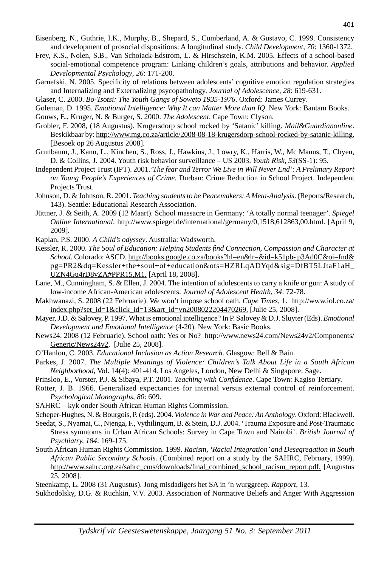- Eisenberg, N., Guthrie, I.K., Murphy, B., Shepard, S., Cumberland, A. & Gustavo, C. 1999. Consistency and development of prosocial dispositions: A longitudinal study. *Child Development*, *70*: 1360-1372.
- Frey, K.S., Nolen, S.B., Van Schoiack-Edstrom, L. & Hirschstein, K.M. 2005. Effects of a school-based social-emotional competence program: Linking children's goals, attributions and behavior. *Applied Developmental Psychology*, *26*: 171-200.
- Garnefski, N. 2005. Specificity of relations between adolescents' cognitive emotion regulation strategies and Internalizing and Externalizing psycopathology. *Journal of Adolescence, 28*: 619-631.
- Glaser, C. 2000. *Bo-Tsotsi: The Youth Gangs of Soweto 1935-1976*. Oxford: James Currey.

Goleman, D. 1995. *Emotional Intelligence: Why It can Matter More than IQ*. New York: Bantam Books.

- Gouws, E., Kruger, N. & Burger, S. 2000. *The Adolescent*. Cape Town: Clyson.
- Grobler, F. 2008, (18 Augustus). Krugersdorp school rocked by 'Satanic' killing. *Mail&Guardianonline*. Beskikbaar by: http://www.mg.co.za/article/2008-08-18-krugersdorp-school-rocked-by-satanic-killing. [Besoek op 26 Augustus 2008].
- Grunbaum, J., Kann, L., Kinchen, S., Ross, J., Hawkins, J., Lowry, K., Harris, W., Mc Manus, T., Chyen, D. & Collins, J. 2004. Youth risk behavior surveillance – US 2003. *Youth Risk*, *53*(SS-1): 95.
- Independent Project Trust (IPT). 2001.*'The fear and Terror We Live in Will Never End': A Prelimary Report on Young People's Experiences of Crime.* Durban: Crime Reduction in School Project. Independent Projects Trust.
- Johnson, D. & Johnson, R. 2001. *Teaching students to be Peacemakers: A Meta-Analysis*. (Reports/Research, 143). Seattle: Educational Research Association.
- Jüttner, J. & Seith, A. 2009 (12 Maart). School massacre in Germany: 'A totally normal teenager'. *Spiegel Online International*. http://www.spiegel.de/international/germany/0,1518,612863,00.html. [April 9, 2009].
- Kaplan, P.S. 2000. *A Child's odyssey*. Australia: Wadsworth.
- Kessler, R. 2000. *The Soul of Education: Helping Students fi nd Connection, Compassion and Character at School*. Colorado: ASCD. http://books.google.co.za/books?hl=en&lr=&id=k51pb- p3Ad0C&oi=fnd& pg=PR2&dq=Kessler+the+soul+of+education&ots=HZRLqADYqd&sig=DfBT5LJtaF1aH\_ UZN4Gu4rD8vZA#PPR15,M1. [April 18, 2008].
- Lane, M., Cunningham, S. & Ellen, J. 2004. The intention of adolescents to carry a knife or gun: A study of low-income African-American adolescents. *Journal of Adolescent Health*, *34*: 72-78.
- Makhwanazi, S. 2008 (22 Februarie). We won't impose school oath. *Cape Times*, 1. http://www.iol.co.za/ index.php?set\_id=1&click\_id=13&art\_id=vn2008022204470269. [Julie 25, 2008].
- Mayer, J.D. & Salovey, P. 1997. What is emotional intelligence? In P. Salovey & D.J. Sluyter (Eds). *Emotional Development and Emotional Intelligence* (4-20). New York: Basic Books.
- News24. 2008 (12 Februarie). School oath: Yes or No? http://www.news24.com/News24v2/Components/ Generic/News24v2. [Julie 25, 2008].
- O'Hanlon, C. 2003. *Educational Inclusion as Action Research*. Glasgow: Bell & Bain.
- Parkes, J. 2007. *The Multiple Meanings of Violence: Children's Talk About Life in a South African Neighborhood*, Vol. 14(4): 401-414*.* Los Angeles, London, New Delhi & Singapore: Sage.
- Prinsloo, E., Vorster, P.J. & Sibaya, P.T. 2001. *Teaching with Confi dence*. Cape Town: Kagiso Tertiary.
- Rotter, J. B. 1966. Generalized expectancies for internal versus external control of reinforcement. *Psychological Monographs*, *80*: 609.
- SAHRC kyk onder South African Human Rights Commission.
- Scheper-Hughes, N. & Bourgois, P. (eds). 2004. *Violence in War and Peace: An Anthology*. Oxford: Blackwell.
- Seedat, S., Nyamai, C., Njenga, F., Vythilingum, B. & Stein, D.J. 2004. 'Trauma Exposure and Post-Traumatic Stress symntoms in Urban African Schools: Survey in Cape Town and Nairobi'. *British Journal of Psychiatry, 184*: 169-175.
- South African Human Rights Commission. 1999. *Racism, 'Racial Integration' and Desegregation in South African Public Secondary Schools*. (Combined report on a study by the SAHRC, February, 1999). http://www.sahrc.org.za/sahrc\_cms/downloads/final\_combined\_school\_racism\_report.pdf. [Augustus] 25, 2008].
- Steenkamp, L. 2008 (31 Augustus). Jong misdadigers het SA in 'n wurggreep. *Rapport*, 13.
- Sukhodolsky, D.G. & Ruchkin, V.V. 2003. Association of Normative Beliefs and Anger With Aggression